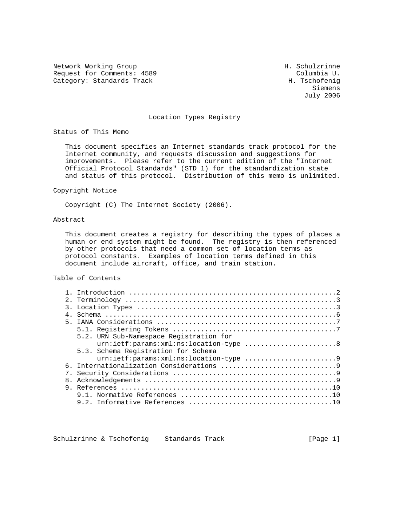Network Working Group Network H. Schulzrinne Request for Comments: 4589 Columbia U.<br>
Category: Standards Track Category: Standards Track Category: Standards Track

 Siemens July 2006

#### Location Types Registry

Status of This Memo

 This document specifies an Internet standards track protocol for the Internet community, and requests discussion and suggestions for improvements. Please refer to the current edition of the "Internet Official Protocol Standards" (STD 1) for the standardization state and status of this protocol. Distribution of this memo is unlimited.

#### Copyright Notice

Copyright (C) The Internet Society (2006).

#### Abstract

 This document creates a registry for describing the types of places a human or end system might be found. The registry is then referenced by other protocols that need a common set of location terms as protocol constants. Examples of location terms defined in this document include aircraft, office, and train station.

## Table of Contents

| $\overline{3}$ . |                                         |
|------------------|-----------------------------------------|
| 4 <sub>1</sub>   |                                         |
|                  |                                         |
|                  |                                         |
|                  | 5.2. URN Sub-Namespace Registration for |
|                  | urn:ietf:params:xml:ns:location-type 8  |
|                  | 5.3. Schema Registration for Schema     |
|                  |                                         |
|                  |                                         |
|                  |                                         |
|                  |                                         |
|                  |                                         |
|                  |                                         |
|                  |                                         |

Schulzrinne & Tschofenig Standards Track [Page 1]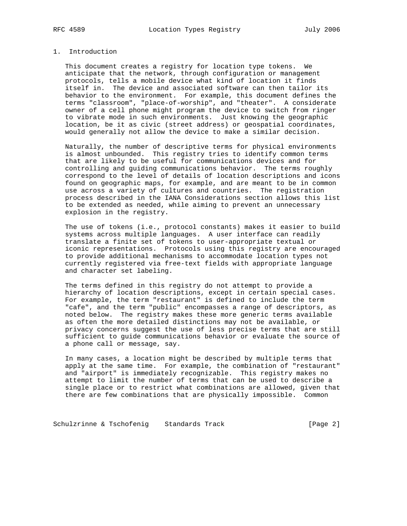# 1. Introduction

 This document creates a registry for location type tokens. We anticipate that the network, through configuration or management protocols, tells a mobile device what kind of location it finds itself in. The device and associated software can then tailor its behavior to the environment. For example, this document defines the terms "classroom", "place-of-worship", and "theater". A considerate owner of a cell phone might program the device to switch from ringer to vibrate mode in such environments. Just knowing the geographic location, be it as civic (street address) or geospatial coordinates, would generally not allow the device to make a similar decision.

 Naturally, the number of descriptive terms for physical environments is almost unbounded. This registry tries to identify common terms that are likely to be useful for communications devices and for controlling and guiding communications behavior. The terms roughly correspond to the level of details of location descriptions and icons found on geographic maps, for example, and are meant to be in common use across a variety of cultures and countries. The registration process described in the IANA Considerations section allows this list to be extended as needed, while aiming to prevent an unnecessary explosion in the registry.

 The use of tokens (i.e., protocol constants) makes it easier to build systems across multiple languages. A user interface can readily translate a finite set of tokens to user-appropriate textual or iconic representations. Protocols using this registry are encouraged to provide additional mechanisms to accommodate location types not currently registered via free-text fields with appropriate language and character set labeling.

 The terms defined in this registry do not attempt to provide a hierarchy of location descriptions, except in certain special cases. For example, the term "restaurant" is defined to include the term "cafe", and the term "public" encompasses a range of descriptors, as noted below. The registry makes these more generic terms available as often the more detailed distinctions may not be available, or privacy concerns suggest the use of less precise terms that are still sufficient to guide communications behavior or evaluate the source of a phone call or message, say.

 In many cases, a location might be described by multiple terms that apply at the same time. For example, the combination of "restaurant" and "airport" is immediately recognizable. This registry makes no attempt to limit the number of terms that can be used to describe a single place or to restrict what combinations are allowed, given that there are few combinations that are physically impossible. Common

Schulzrinne & Tschofenig Standards Track (Page 2)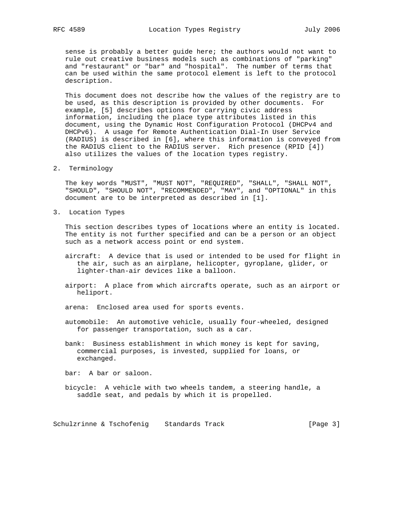sense is probably a better guide here; the authors would not want to rule out creative business models such as combinations of "parking" and "restaurant" or "bar" and "hospital". The number of terms that can be used within the same protocol element is left to the protocol description.

 This document does not describe how the values of the registry are to be used, as this description is provided by other documents. For example, [5] describes options for carrying civic address information, including the place type attributes listed in this document, using the Dynamic Host Configuration Protocol (DHCPv4 and DHCPv6). A usage for Remote Authentication Dial-In User Service (RADIUS) is described in [6], where this information is conveyed from the RADIUS client to the RADIUS server. Rich presence (RPID [4]) also utilizes the values of the location types registry.

2. Terminology

 The key words "MUST", "MUST NOT", "REQUIRED", "SHALL", "SHALL NOT", "SHOULD", "SHOULD NOT", "RECOMMENDED", "MAY", and "OPTIONAL" in this document are to be interpreted as described in [1].

3. Location Types

 This section describes types of locations where an entity is located. The entity is not further specified and can be a person or an object such as a network access point or end system.

- aircraft: A device that is used or intended to be used for flight in the air, such as an airplane, helicopter, gyroplane, glider, or lighter-than-air devices like a balloon.
- airport: A place from which aircrafts operate, such as an airport or heliport.
- arena: Enclosed area used for sports events.
- automobile: An automotive vehicle, usually four-wheeled, designed for passenger transportation, such as a car.
- bank: Business establishment in which money is kept for saving, commercial purposes, is invested, supplied for loans, or exchanged.

bar: A bar or saloon.

 bicycle: A vehicle with two wheels tandem, a steering handle, a saddle seat, and pedals by which it is propelled.

Schulzrinne & Tschofenig Standards Track (Page 3)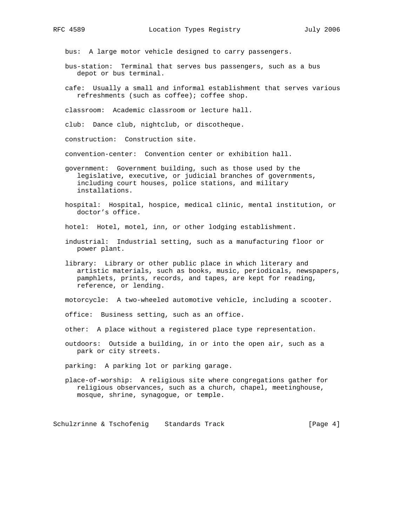bus: A large motor vehicle designed to carry passengers.

- bus-station: Terminal that serves bus passengers, such as a bus depot or bus terminal.
- cafe: Usually a small and informal establishment that serves various refreshments (such as coffee); coffee shop.

classroom: Academic classroom or lecture hall.

club: Dance club, nightclub, or discotheque.

construction: Construction site.

convention-center: Convention center or exhibition hall.

 government: Government building, such as those used by the legislative, executive, or judicial branches of governments, including court houses, police stations, and military installations.

 hospital: Hospital, hospice, medical clinic, mental institution, or doctor's office.

hotel: Hotel, motel, inn, or other lodging establishment.

- industrial: Industrial setting, such as a manufacturing floor or power plant.
- library: Library or other public place in which literary and artistic materials, such as books, music, periodicals, newspapers, pamphlets, prints, records, and tapes, are kept for reading, reference, or lending.

motorcycle: A two-wheeled automotive vehicle, including a scooter.

office: Business setting, such as an office.

other: A place without a registered place type representation.

 outdoors: Outside a building, in or into the open air, such as a park or city streets.

parking: A parking lot or parking garage.

 place-of-worship: A religious site where congregations gather for religious observances, such as a church, chapel, meetinghouse, mosque, shrine, synagogue, or temple.

Schulzrinne & Tschofenig Standards Track [Page 4]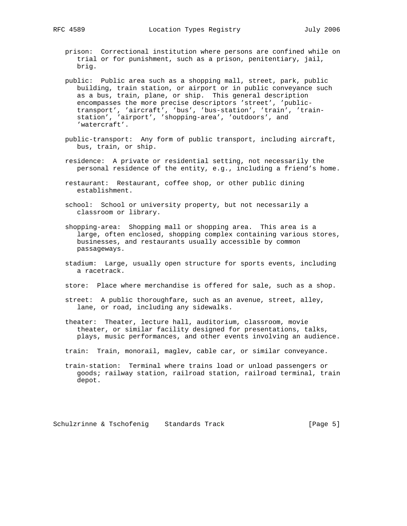- prison: Correctional institution where persons are confined while on trial or for punishment, such as a prison, penitentiary, jail, brig.
- public: Public area such as a shopping mall, street, park, public building, train station, or airport or in public conveyance such as a bus, train, plane, or ship. This general description encompasses the more precise descriptors 'street', 'public transport', 'aircraft', 'bus', 'bus-station', 'train', 'train station', 'airport', 'shopping-area', 'outdoors', and 'watercraft'.
- public-transport: Any form of public transport, including aircraft, bus, train, or ship.
- residence: A private or residential setting, not necessarily the personal residence of the entity, e.g., including a friend's home.
- restaurant: Restaurant, coffee shop, or other public dining establishment.
- school: School or university property, but not necessarily a classroom or library.
- shopping-area: Shopping mall or shopping area. This area is a large, often enclosed, shopping complex containing various stores, businesses, and restaurants usually accessible by common passageways.
- stadium: Large, usually open structure for sports events, including a racetrack.
- store: Place where merchandise is offered for sale, such as a shop.
- street: A public thoroughfare, such as an avenue, street, alley, lane, or road, including any sidewalks.
- theater: Theater, lecture hall, auditorium, classroom, movie theater, or similar facility designed for presentations, talks, plays, music performances, and other events involving an audience.
- train: Train, monorail, maglev, cable car, or similar conveyance.
- train-station: Terminal where trains load or unload passengers or goods; railway station, railroad station, railroad terminal, train depot.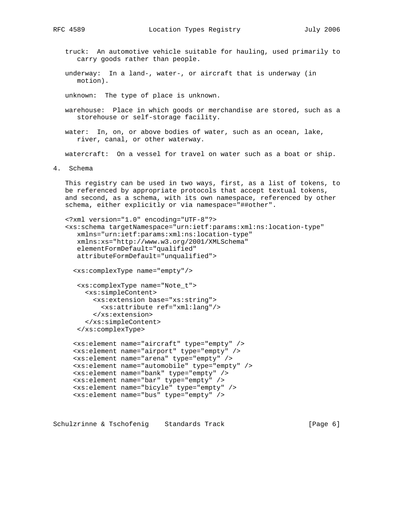truck: An automotive vehicle suitable for hauling, used primarily to carry goods rather than people.

 underway: In a land-, water-, or aircraft that is underway (in motion).

unknown: The type of place is unknown.

- warehouse: Place in which goods or merchandise are stored, such as a storehouse or self-storage facility.
- water: In, on, or above bodies of water, such as an ocean, lake, river, canal, or other waterway.

watercraft: On a vessel for travel on water such as a boat or ship.

4. Schema

 This registry can be used in two ways, first, as a list of tokens, to be referenced by appropriate protocols that accept textual tokens, and second, as a schema, with its own namespace, referenced by other schema, either explicitly or via namespace="##other".

```
 <?xml version="1.0" encoding="UTF-8"?>
 <xs:schema targetNamespace="urn:ietf:params:xml:ns:location-type"
   xmlns="urn:ietf:params:xml:ns:location-type"
   xmlns:xs="http://www.w3.org/2001/XMLSchema"
    elementFormDefault="qualified"
   attributeFormDefault="unqualified">
```
<xs:complexType name="empty"/>

```
 <xs:complexType name="Note_t">
  <xs:simpleContent>
    <xs:extension base="xs:string">
       <xs:attribute ref="xml:lang"/>
     </xs:extension>
   </xs:simpleContent>
 </xs:complexType>
```

```
 <xs:element name="aircraft" type="empty" />
 <xs:element name="airport" type="empty" />
 <xs:element name="arena" type="empty" />
 <xs:element name="automobile" type="empty" />
 <xs:element name="bank" type="empty" />
 <xs:element name="bar" type="empty" />
 <xs:element name="bicyle" type="empty" />
 <xs:element name="bus" type="empty" />
```
Schulzrinne & Tschofenig Standards Track [Page 6]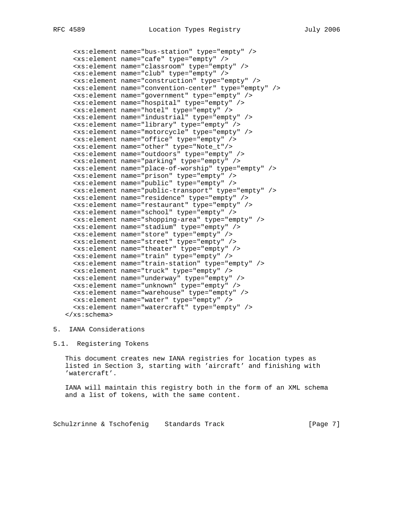```
 <xs:element name="bus-station" type="empty" />
 <xs:element name="cafe" type="empty" />
 <xs:element name="classroom" type="empty" />
 <xs:element name="club" type="empty" />
 <xs:element name="construction" type="empty" />
 <xs:element name="convention-center" type="empty" />
 <xs:element name="government" type="empty" />
 <xs:element name="hospital" type="empty" />
 <xs:element name="hotel" type="empty" />
 <xs:element name="industrial" type="empty" />
 <xs:element name="library" type="empty" />
 <xs:element name="motorcycle" type="empty" />
 <xs:element name="office" type="empty" />
 <xs:element name="other" type="Note_t"/>
 <xs:element name="outdoors" type="empty" />
 <xs:element name="parking" type="empty" />
 <xs:element name="place-of-worship" type="empty" />
 <xs:element name="prison" type="empty" />
 <xs:element name="public" type="empty" />
 <xs:element name="public-transport" type="empty" />
 <xs:element name="residence" type="empty" />
 <xs:element name="restaurant" type="empty" />
 <xs:element name="school" type="empty" />
 <xs:element name="shopping-area" type="empty" />
 <xs:element name="stadium" type="empty" />
 <xs:element name="store" type="empty" />
 <xs:element name="street" type="empty" />
 <xs:element name="theater" type="empty" />
 <xs:element name="train" type="empty" />
 <xs:element name="train-station" type="empty" />
 <xs:element name="truck" type="empty" />
 <xs:element name="underway" type="empty" />
 <xs:element name="unknown" type="empty" />
 <xs:element name="warehouse" type="empty" />
 <xs:element name="water" type="empty" />
 <xs:element name="watercraft" type="empty" />
```
</xs:schema>

## 5. IANA Considerations

## 5.1. Registering Tokens

 This document creates new IANA registries for location types as listed in Section 3, starting with 'aircraft' and finishing with 'watercraft'.

 IANA will maintain this registry both in the form of an XML schema and a list of tokens, with the same content.

Schulzrinne & Tschofenig Standards Track [Page 7]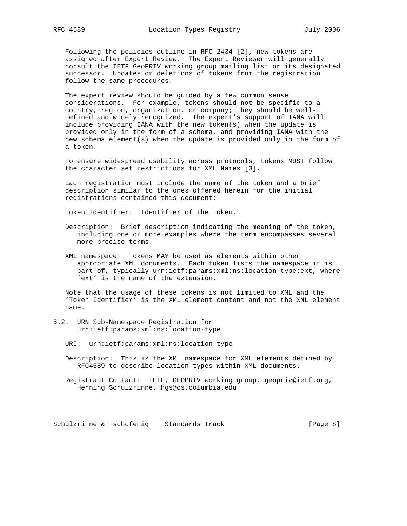Following the policies outline in RFC 2434 [2], new tokens are assigned after Expert Review. The Expert Reviewer will generally consult the IETF GeoPRIV working group mailing list or its designated successor. Updates or deletions of tokens from the registration follow the same procedures.

 The expert review should be guided by a few common sense considerations. For example, tokens should not be specific to a country, region, organization, or company; they should be well defined and widely recognized. The expert's support of IANA will include providing IANA with the new token(s) when the update is provided only in the form of a schema, and providing IANA with the new schema element(s) when the update is provided only in the form of a token.

 To ensure widespread usability across protocols, tokens MUST follow the character set restrictions for XML Names [3].

 Each registration must include the name of the token and a brief description similar to the ones offered herein for the initial registrations contained this document:

Token Identifier: Identifier of the token.

- Description: Brief description indicating the meaning of the token, including one or more examples where the term encompasses several more precise terms.
- XML namespace: Tokens MAY be used as elements within other appropriate XML documents. Each token lists the namespace it is part of, typically urn:ietf:params:xml:ns:location-type:ext, where 'ext' is the name of the extension.

 Note that the usage of these tokens is not limited to XML and the 'Token Identifier' is the XML element content and not the XML element name.

- 5.2. URN Sub-Namespace Registration for urn:ietf:params:xml:ns:location-type
	- URI: urn:ietf:params:xml:ns:location-type
	- Description: This is the XML namespace for XML elements defined by RFC4589 to describe location types within XML documents.
	- Registrant Contact: IETF, GEOPRIV working group, geopriv@ietf.org, Henning Schulzrinne, hgs@cs.columbia.edu

Schulzrinne & Tschofenig Standards Track [Page 8]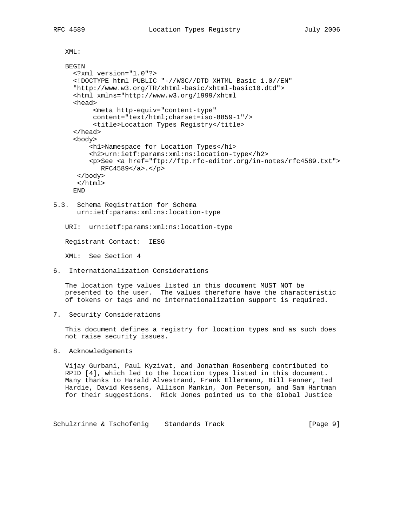XML:

```
 BEGIN
   <?xml version="1.0"?>
   <!DOCTYPE html PUBLIC "-//W3C//DTD XHTML Basic 1.0//EN"
   "http://www.w3.org/TR/xhtml-basic/xhtml-basic10.dtd">
   <html xmlns="http://www.w3.org/1999/xhtml
   <head>
        <meta http-equiv="content-type"
        content="text/html;charset=iso-8859-1"/>
        <title>Location Types Registry</title>
   </head>
   <body>
       <h1>Namespace for Location Types</h1>
       <h2>urn:ietf:params:xml:ns:location-type</h2>
       <p>See <a href="ftp://ftp.rfc-editor.org/in-notes/rfc4589.txt">
          RFC4589</a>.</p>
    </body>
    </html>
   END
```
5.3. Schema Registration for Schema urn:ietf:params:xml:ns:location-type

URI: urn:ietf:params:xml:ns:location-type

Registrant Contact: IESG

XML: See Section 4

6. Internationalization Considerations

 The location type values listed in this document MUST NOT be presented to the user. The values therefore have the characteristic of tokens or tags and no internationalization support is required.

7. Security Considerations

 This document defines a registry for location types and as such does not raise security issues.

8. Acknowledgements

 Vijay Gurbani, Paul Kyzivat, and Jonathan Rosenberg contributed to RPID [4], which led to the location types listed in this document. Many thanks to Harald Alvestrand, Frank Ellermann, Bill Fenner, Ted Hardie, David Kessens, Allison Mankin, Jon Peterson, and Sam Hartman for their suggestions. Rick Jones pointed us to the Global Justice

Schulzrinne & Tschofenig Standards Track [Page 9]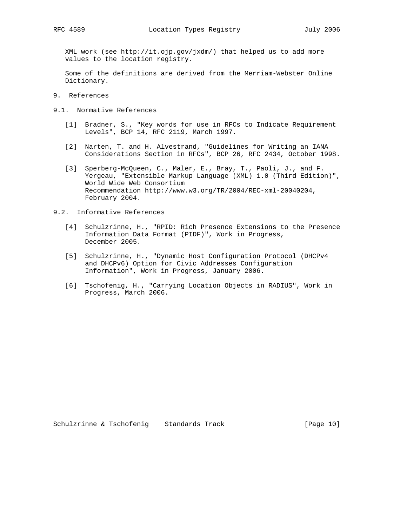XML work (see http://it.ojp.gov/jxdm/) that helped us to add more values to the location registry.

 Some of the definitions are derived from the Merriam-Webster Online Dictionary.

- 9. References
- 9.1. Normative References
	- [1] Bradner, S., "Key words for use in RFCs to Indicate Requirement Levels", BCP 14, RFC 2119, March 1997.
	- [2] Narten, T. and H. Alvestrand, "Guidelines for Writing an IANA Considerations Section in RFCs", BCP 26, RFC 2434, October 1998.
	- [3] Sperberg-McQueen, C., Maler, E., Bray, T., Paoli, J., and F. Yergeau, "Extensible Markup Language (XML) 1.0 (Third Edition)", World Wide Web Consortium Recommendation http://www.w3.org/TR/2004/REC-xml-20040204, February 2004.
- 9.2. Informative References
	- [4] Schulzrinne, H., "RPID: Rich Presence Extensions to the Presence Information Data Format (PIDF)", Work in Progress, December 2005.
	- [5] Schulzrinne, H., "Dynamic Host Configuration Protocol (DHCPv4 and DHCPv6) Option for Civic Addresses Configuration Information", Work in Progress, January 2006.
	- [6] Tschofenig, H., "Carrying Location Objects in RADIUS", Work in Progress, March 2006.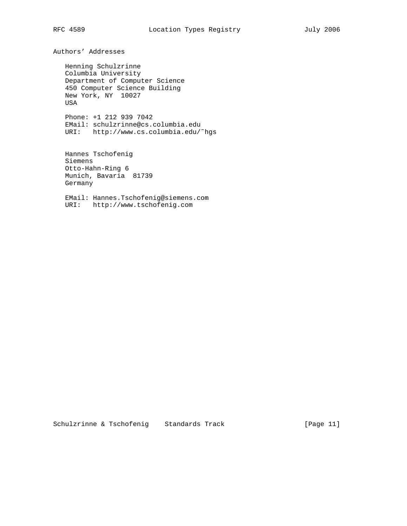Authors' Addresses

 Henning Schulzrinne Columbia University Department of Computer Science 450 Computer Science Building New York, NY 10027 USA

 Phone: +1 212 939 7042 EMail: schulzrinne@cs.columbia.edu URI: http://www.cs.columbia.edu/˜hgs

 Hannes Tschofenig Siemens Otto-Hahn-Ring 6 Munich, Bavaria 81739 Germany

 EMail: Hannes.Tschofenig@siemens.com URI: http://www.tschofenig.com